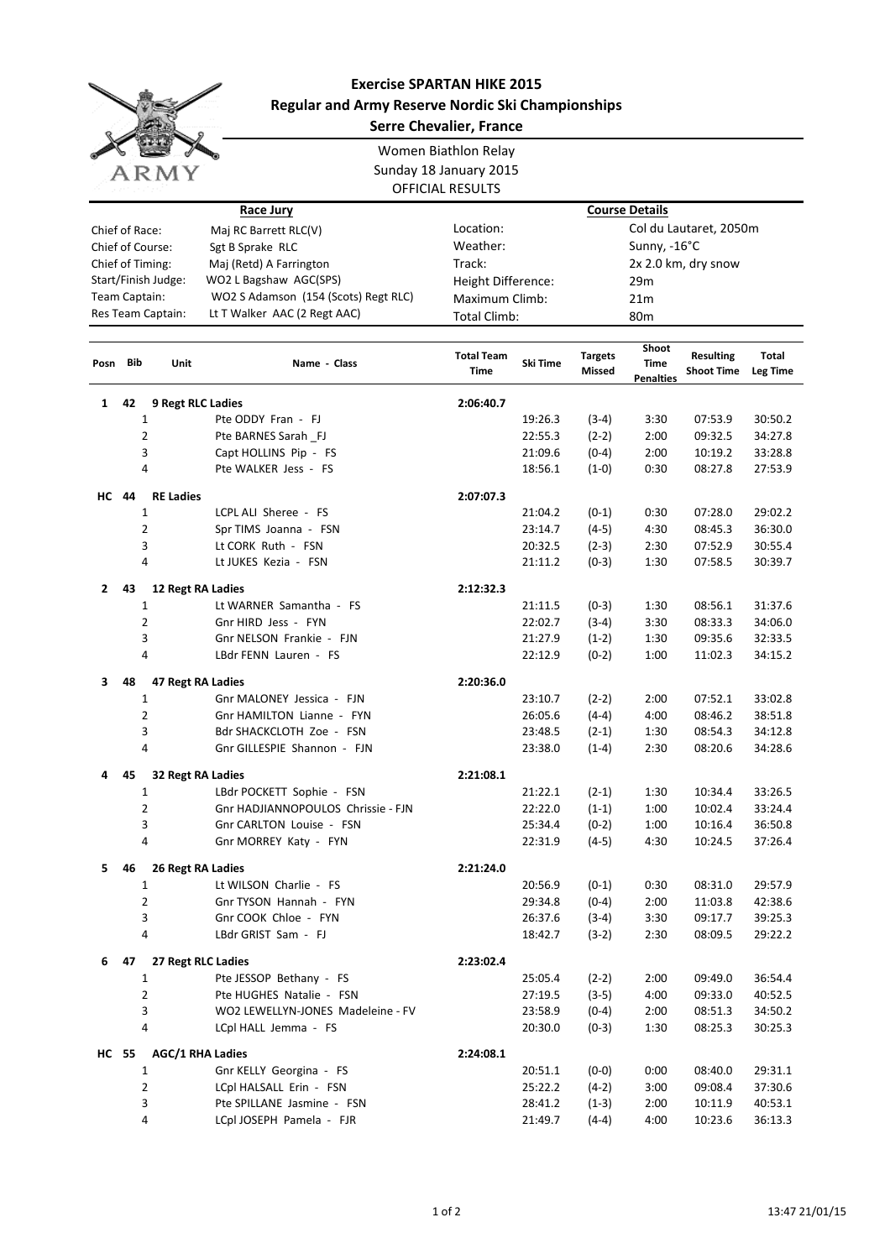

## **Exercise SPARTAN HIKE 2015 Regular and Army Reserve Nordic Ski Championships Serre Chevalier, France**

|                                                       |     |                         |                                    | Women Biathlon Relay      |                       |                                 |                                   |                                       |                          |  |  |
|-------------------------------------------------------|-----|-------------------------|------------------------------------|---------------------------|-----------------------|---------------------------------|-----------------------------------|---------------------------------------|--------------------------|--|--|
|                                                       |     |                         |                                    | Sunday 18 January 2015    |                       |                                 |                                   |                                       |                          |  |  |
|                                                       |     | ARMY                    |                                    | <b>OFFICIAL RESULTS</b>   |                       |                                 |                                   |                                       |                          |  |  |
|                                                       |     |                         |                                    |                           |                       |                                 |                                   |                                       |                          |  |  |
|                                                       |     |                         | <b>Race Jury</b>                   |                           | <b>Course Details</b> |                                 |                                   |                                       |                          |  |  |
| Chief of Race:<br>Maj RC Barrett RLC(V)               |     |                         |                                    | Location:                 |                       |                                 |                                   | Col du Lautaret, 2050m                |                          |  |  |
| Chief of Course:<br>Sgt B Sprake RLC                  |     |                         |                                    | Weather:                  |                       |                                 | Sunny, -16°C                      |                                       |                          |  |  |
| Chief of Timing:<br>Maj (Retd) A Farrington           |     |                         |                                    | Track:                    |                       |                                 |                                   | 2x 2.0 km, dry snow                   |                          |  |  |
| Start/Finish Judge:<br>WO2 L Bagshaw AGC(SPS)         |     |                         |                                    | Height Difference:        |                       |                                 | 29m                               |                                       |                          |  |  |
| Team Captain:<br>WO2 S Adamson (154 (Scots) Regt RLC) |     |                         | Maximum Climb:                     |                           | 21m                   |                                 |                                   |                                       |                          |  |  |
| Res Team Captain:<br>Lt T Walker AAC (2 Regt AAC)     |     |                         | <b>Total Climb:</b>                |                           |                       | 80 <sub>m</sub>                 |                                   |                                       |                          |  |  |
| Posn                                                  | Bib | Unit                    | Name - Class                       | <b>Total Team</b><br>Time | Ski Time              | <b>Targets</b><br><b>Missed</b> | Shoot<br>Time<br><b>Penalties</b> | <b>Resulting</b><br><b>Shoot Time</b> | Total<br><b>Leg Time</b> |  |  |
| 1                                                     | 42  | 9 Regt RLC Ladies       |                                    | 2:06:40.7                 |                       |                                 |                                   |                                       |                          |  |  |
|                                                       |     | 1                       | Pte ODDY Fran - FJ                 |                           | 19:26.3               | $(3-4)$                         | 3:30                              | 07:53.9                               | 30:50.2                  |  |  |
|                                                       |     | $\overline{2}$          | Pte BARNES Sarah FJ                |                           | 22:55.3               | $(2-2)$                         | 2:00                              | 09:32.5                               | 34:27.8                  |  |  |
|                                                       |     | 3                       | Capt HOLLINS Pip - FS              |                           | 21:09.6               | $(0-4)$                         | 2:00                              | 10:19.2                               | 33:28.8                  |  |  |
|                                                       |     | 4                       | Pte WALKER Jess - FS               |                           | 18:56.1               | $(1-0)$                         | 0:30                              | 08:27.8                               | 27:53.9                  |  |  |
|                                                       |     |                         |                                    |                           |                       |                                 |                                   |                                       |                          |  |  |
| <b>HC</b> 44                                          |     | <b>RE Ladies</b>        |                                    | 2:07:07.3                 |                       |                                 |                                   |                                       |                          |  |  |
|                                                       |     | 1                       | LCPL ALI Sheree - FS               |                           | 21:04.2               | $(0-1)$                         | 0:30                              | 07:28.0                               | 29:02.2                  |  |  |
|                                                       |     | $\overline{2}$          | Spr TIMS Joanna - FSN              |                           | 23:14.7               | $(4-5)$                         | 4:30                              | 08:45.3                               | 36:30.0                  |  |  |
|                                                       |     | 3                       | Lt CORK Ruth - FSN                 |                           | 20:32.5               | $(2-3)$                         | 2:30                              | 07:52.9                               | 30:55.4                  |  |  |
|                                                       |     | 4                       | Lt JUKES Kezia - FSN               |                           | 21:11.2               | $(0-3)$                         | 1:30                              | 07:58.5                               | 30:39.7                  |  |  |
| $\mathbf{2}$                                          | 43  | 12 Regt RA Ladies       |                                    | 2:12:32.3                 |                       |                                 |                                   |                                       |                          |  |  |
|                                                       |     | 1                       | Lt WARNER Samantha - FS            |                           | 21:11.5               | $(0-3)$                         | 1:30                              | 08:56.1                               | 31:37.6                  |  |  |
|                                                       |     | $\overline{2}$          | Gnr HIRD Jess - FYN                |                           | 22:02.7               | $(3-4)$                         | 3:30                              | 08:33.3                               | 34:06.0                  |  |  |
|                                                       |     | 3                       | Gnr NELSON Frankie - FJN           |                           | 21:27.9               | $(1-2)$                         | 1:30                              | 09:35.6                               | 32:33.5                  |  |  |
|                                                       |     | 4                       | LBdr FENN Lauren - FS              |                           | 22:12.9               | $(0-2)$                         | 1:00                              | 11:02.3                               | 34:15.2                  |  |  |
| 3                                                     | 48  | 47 Regt RA Ladies       |                                    | 2:20:36.0                 |                       |                                 |                                   |                                       |                          |  |  |
|                                                       |     | 1                       | Gnr MALONEY Jessica - FJN          |                           | 23:10.7               | $(2-2)$                         | 2:00                              | 07:52.1                               | 33:02.8                  |  |  |
|                                                       |     | $\overline{2}$          | Gnr HAMILTON Lianne - FYN          |                           | 26:05.6               | $(4-4)$                         | 4:00                              | 08:46.2                               | 38:51.8                  |  |  |
|                                                       |     | 3                       | Bdr SHACKCLOTH Zoe - FSN           |                           | 23:48.5               | $(2-1)$                         | 1:30                              | 08:54.3                               | 34:12.8                  |  |  |
|                                                       |     | 4                       | Gnr GILLESPIE Shannon - FJN        |                           | 23:38.0               | $(1-4)$                         | 2:30                              | 08:20.6                               | 34:28.6                  |  |  |
| 4                                                     | 45  | 32 Regt RA Ladies       |                                    | 2:21:08.1                 |                       |                                 |                                   |                                       |                          |  |  |
|                                                       |     | 1                       | LBdr POCKETT Sophie - FSN          |                           | 21:22.1               | $(2-1)$                         | 1:30                              | 10:34.4                               | 33:26.5                  |  |  |
|                                                       |     | 2                       | Gnr HADJIANNOPOULOS Chrissie - FJN |                           | 22:22.0               | $(1-1)$                         | 1:00                              | 10:02.4                               | 33:24.4                  |  |  |
|                                                       |     | 3                       | Gnr CARLTON Louise - FSN           |                           | 25:34.4               | $(0-2)$                         | 1:00                              | 10:16.4                               | 36:50.8                  |  |  |
|                                                       |     | 4                       | Gnr MORREY Katy - FYN              |                           | 22:31.9               | $(4-5)$                         | 4:30                              | 10:24.5                               | 37:26.4                  |  |  |
|                                                       |     |                         |                                    |                           |                       |                                 |                                   |                                       |                          |  |  |
| 5.                                                    | 46  | 26 Regt RA Ladies       |                                    | 2:21:24.0                 |                       |                                 |                                   |                                       |                          |  |  |
|                                                       |     | 1                       | Lt WILSON Charlie - FS             |                           | 20:56.9               | $(0-1)$                         | 0:30                              | 08:31.0                               | 29:57.9                  |  |  |
|                                                       |     | $\overline{2}$          | Gnr TYSON Hannah - FYN             |                           | 29:34.8               | $(0-4)$                         | 2:00                              | 11:03.8                               | 42:38.6                  |  |  |
|                                                       |     | 3                       | Gnr COOK Chloe - FYN               |                           | 26:37.6               | $(3-4)$                         | 3:30                              | 09:17.7                               | 39:25.3                  |  |  |
|                                                       |     | 4                       | LBdr GRIST Sam - FJ                |                           | 18:42.7               | $(3-2)$                         | 2:30                              | 08:09.5                               | 29:22.2                  |  |  |
| 6                                                     | 47  |                         | 27 Regt RLC Ladies                 | 2:23:02.4                 |                       |                                 |                                   |                                       |                          |  |  |
|                                                       |     | $\mathbf{1}$            | Pte JESSOP Bethany - FS            |                           | 25:05.4               | $(2-2)$                         | 2:00                              | 09:49.0                               | 36:54.4                  |  |  |
|                                                       |     | $\overline{\mathbf{c}}$ | Pte HUGHES Natalie - FSN           |                           | 27:19.5               | $(3-5)$                         | 4:00                              | 09:33.0                               | 40:52.5                  |  |  |
|                                                       |     | 3                       | WO2 LEWELLYN-JONES Madeleine - FV  |                           | 23:58.9               | $(0-4)$                         | 2:00                              | 08:51.3                               | 34:50.2                  |  |  |
|                                                       |     | 4                       | LCpl HALL Jemma - FS               |                           | 20:30.0               | $(0-3)$                         | 1:30                              | 08:25.3                               | 30:25.3                  |  |  |
| HC 55                                                 |     | <b>AGC/1 RHA Ladies</b> |                                    | 2:24:08.1                 |                       |                                 |                                   |                                       |                          |  |  |
|                                                       |     | 1                       | Gnr KELLY Georgina - FS            |                           | 20:51.1               | $(0-0)$                         | 0:00                              | 08:40.0                               | 29:31.1                  |  |  |
|                                                       |     | $\overline{2}$          | LCpl HALSALL Erin - FSN            |                           | 25:22.2               | $(4-2)$                         | 3:00                              | 09:08.4                               | 37:30.6                  |  |  |
|                                                       |     | 3                       | Pte SPILLANE Jasmine - FSN         |                           | 28:41.2               | $(1-3)$                         | 2:00                              | 10:11.9                               | 40:53.1                  |  |  |
|                                                       |     | 4                       | LCpl JOSEPH Pamela - FJR           |                           | 21:49.7               | $(4-4)$                         | 4:00                              | 10:23.6                               | 36:13.3                  |  |  |